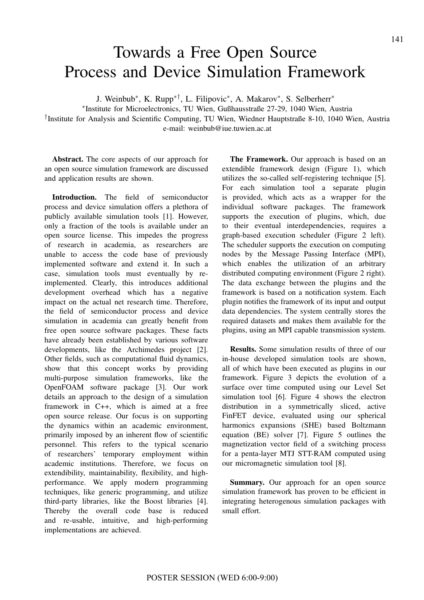## Towards a Free Open Source Process and Device Simulation Framework

J. Weinbub<sup>∗</sup> , K. Rupp∗†, L. Filipovic<sup>∗</sup> , A. Makarov<sup>∗</sup> , S. Selberherr<sup>∗</sup>

∗ Institute for Microelectronics, TU Wien, Gußhausstraße 27-29, 1040 Wien, Austria

† Institute for Analysis and Scientific Computing, TU Wien, Wiedner Hauptstraße 8-10, 1040 Wien, Austria e-mail: weinbub@iue.tuwien.ac.at

**Abstract.** The core aspects of our approach for an open source simulation framework are discussed and application results are shown.

**Introduction.** The field of semiconductor process and device simulation offers a plethora of publicly available simulation tools [1]. However, only a fraction of the tools is available under an open source license. This impedes the progress of research in academia, as researchers are unable to access the code base of previously implemented software and extend it. In such a case, simulation tools must eventually by reimplemented. Clearly, this introduces additional development overhead which has a negative impact on the actual net research time. Therefore, the field of semiconductor process and device simulation in academia can greatly benefit from free open source software packages. These facts have already been established by various software developments, like the Archimedes project [2]. Other fields, such as computational fluid dynamics, show that this concept works by providing multi-purpose simulation frameworks, like the OpenFOAM software package [3]. Our work details an approach to the design of a simulation framework in C++, which is aimed at a free open source release. Our focus is on supporting the dynamics within an academic environment, primarily imposed by an inherent flow of scientific personnel. This refers to the typical scenario of researchers' temporary employment within academic institutions. Therefore, we focus on extendibility, maintainability, flexibility, and highperformance. We apply modern programming techniques, like generic programming, and utilize third-party libraries, like the Boost libraries [4]. Thereby the overall code base is reduced and re-usable, intuitive, and high-performing implementations are achieved.

**The Framework.** Our approach is based on an extendible framework design (Figure 1), which utilizes the so-called self-registering technique [5]. For each simulation tool a separate plugin is provided, which acts as a wrapper for the individual software packages. The framework supports the execution of plugins, which, due to their eventual interdependencies, requires a graph-based execution scheduler (Figure 2 left). The scheduler supports the execution on computing nodes by the Message Passing Interface (MPI), which enables the utilization of an arbitrary distributed computing environment (Figure 2 right). The data exchange between the plugins and the framework is based on a notification system. Each plugin notifies the framework of its input and output data dependencies. The system centrally stores the required datasets and makes them available for the plugins, using an MPI capable transmission system. **IT AS a Free Open Source** 141<br> **Device Simulation Framework**<br>
C. Rupp<sup>+1</sup>, L. Filippoie, A. Makarov', S. Soforter'<br>
clearedness, TU Wien, Guilhamsterade 27-29. 1040 Wien, Austria<br>
clearities, Compilgon Europhyton Europea

**Results.** Some simulation results of three of our in-house developed simulation tools are shown, all of which have been executed as plugins in our framework. Figure 3 depicts the evolution of a surface over time computed using our Level Set simulation tool [6]. Figure 4 shows the electron distribution in a symmetrically sliced, active FinFET device, evaluated using our spherical harmonics expansions (SHE) based Boltzmann equation (BE) solver [7]. Figure 5 outlines the magnetization vector field of a switching process for a penta-layer MTJ STT-RAM computed using our micromagnetic simulation tool [8].

**Summary.** Our approach for an open source simulation framework has proven to be efficient in integrating heterogenous simulation packages with small effort.